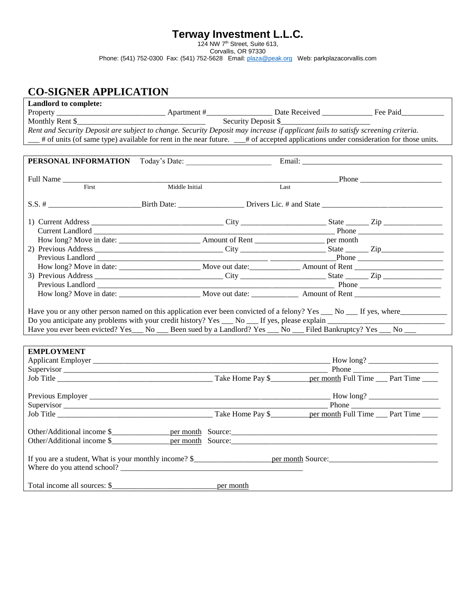## **Terway Investment L.L.C.**

124 NW 7th Street, Suite 613,

Corvallis, OR 97330

Phone: (541) 752-0300 Fax: (541) 752-5628 Email: **plaza@peak.org** Web: parkplazacorvallis.com

## **CO-SIGNER APPLICATION**

| Landlord to complete:                                                                                                            |                                                                                                                                                                                                                               |      |  |               |
|----------------------------------------------------------------------------------------------------------------------------------|-------------------------------------------------------------------------------------------------------------------------------------------------------------------------------------------------------------------------------|------|--|---------------|
|                                                                                                                                  |                                                                                                                                                                                                                               |      |  |               |
|                                                                                                                                  |                                                                                                                                                                                                                               |      |  |               |
| Rent and Security Deposit are subject to change. Security Deposit may increase if applicant fails to satisfy screening criteria. |                                                                                                                                                                                                                               |      |  |               |
|                                                                                                                                  | # of units (of same type) available for rent in the near future. __# of accepted applications under consideration for those units.                                                                                            |      |  |               |
|                                                                                                                                  |                                                                                                                                                                                                                               |      |  |               |
| PERSONAL INFORMATION Today's Date:                                                                                               |                                                                                                                                                                                                                               |      |  |               |
|                                                                                                                                  |                                                                                                                                                                                                                               |      |  |               |
| Full Name                                                                                                                        |                                                                                                                                                                                                                               |      |  | $-$ Phone $-$ |
| First                                                                                                                            | Middle Initial                                                                                                                                                                                                                | Last |  |               |
|                                                                                                                                  |                                                                                                                                                                                                                               |      |  |               |
|                                                                                                                                  |                                                                                                                                                                                                                               |      |  |               |
|                                                                                                                                  |                                                                                                                                                                                                                               |      |  |               |
|                                                                                                                                  |                                                                                                                                                                                                                               |      |  |               |
|                                                                                                                                  |                                                                                                                                                                                                                               |      |  |               |
|                                                                                                                                  |                                                                                                                                                                                                                               |      |  |               |
|                                                                                                                                  |                                                                                                                                                                                                                               |      |  |               |
|                                                                                                                                  |                                                                                                                                                                                                                               |      |  |               |
|                                                                                                                                  |                                                                                                                                                                                                                               |      |  |               |
|                                                                                                                                  |                                                                                                                                                                                                                               |      |  |               |
|                                                                                                                                  |                                                                                                                                                                                                                               |      |  |               |
|                                                                                                                                  | Previous Landlord Phone Phone Phone Phone Phone Phone Phone Phone Phone Phone Phone Phone Phone Phone Phone Phone Phone Phone Phone Phone Phone Phone Phone Phone Phone Phone Phone Phone Phone Phone Phone Phone Phone Phone |      |  |               |
|                                                                                                                                  |                                                                                                                                                                                                                               |      |  |               |
|                                                                                                                                  |                                                                                                                                                                                                                               |      |  |               |
|                                                                                                                                  |                                                                                                                                                                                                                               |      |  |               |
| Have you ever been evicted? Yes __ No __ Been sued by a Landlord? Yes __ No __ Filed Bankruptcy? Yes __ No __                    |                                                                                                                                                                                                                               |      |  |               |
|                                                                                                                                  |                                                                                                                                                                                                                               |      |  |               |
|                                                                                                                                  |                                                                                                                                                                                                                               |      |  |               |
| <b>EMPLOYMENT</b>                                                                                                                |                                                                                                                                                                                                                               |      |  |               |
|                                                                                                                                  |                                                                                                                                                                                                                               |      |  |               |
|                                                                                                                                  |                                                                                                                                                                                                                               |      |  |               |
| Job Title Part Time Pay \$ Part Time Pay \$ Part Time Pay \$ Part Time Pay \$ Part Time Part Time                                |                                                                                                                                                                                                                               |      |  |               |
|                                                                                                                                  |                                                                                                                                                                                                                               |      |  |               |
|                                                                                                                                  |                                                                                                                                                                                                                               |      |  |               |
|                                                                                                                                  |                                                                                                                                                                                                                               |      |  |               |
|                                                                                                                                  |                                                                                                                                                                                                                               |      |  |               |
|                                                                                                                                  |                                                                                                                                                                                                                               |      |  |               |
|                                                                                                                                  |                                                                                                                                                                                                                               |      |  |               |
|                                                                                                                                  |                                                                                                                                                                                                                               |      |  |               |
|                                                                                                                                  |                                                                                                                                                                                                                               |      |  |               |
|                                                                                                                                  |                                                                                                                                                                                                                               |      |  |               |
| Where do you attend school?                                                                                                      |                                                                                                                                                                                                                               |      |  |               |
|                                                                                                                                  |                                                                                                                                                                                                                               |      |  |               |
|                                                                                                                                  |                                                                                                                                                                                                                               |      |  |               |
| Total income all sources: \$                                                                                                     | per month                                                                                                                                                                                                                     |      |  |               |